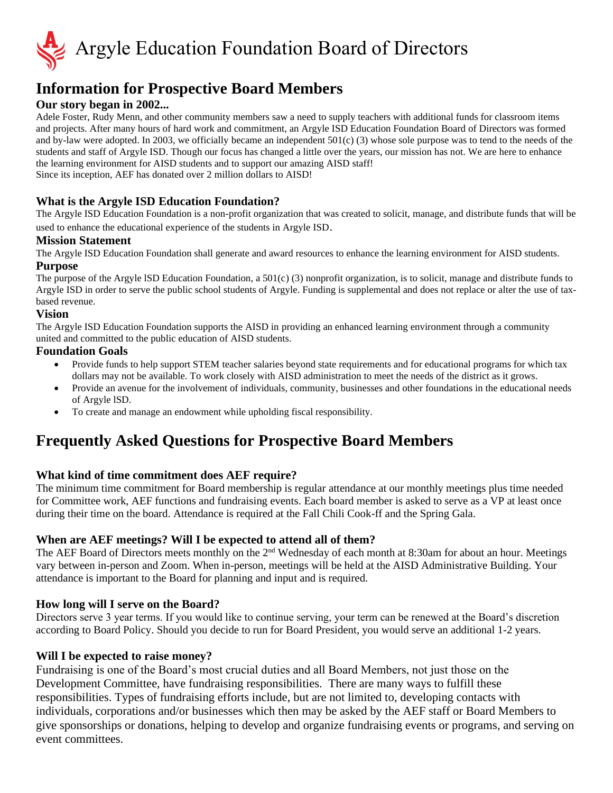

# **Information for Prospective Board Members**

## **Our story began in 2002...**

Adele Foster, Rudy Menn, and other community members saw a need to supply teachers with additional funds for classroom items and projects. After many hours of hard work and commitment, an Argyle ISD Education Foundation Board of Directors was formed and by-law were adopted. In 2003, we officially became an independent 501(c) (3) whose sole purpose was to tend to the needs of the students and staff of Argyle ISD. Though our focus has changed a little over the years, our mission has not. We are here to enhance the learning environment for AISD students and to support our amazing AISD staff! Since its inception, AEF has donated over 2 million dollars to AISD!

### **What is the Argyle ISD Education Foundation?**

The Argyle ISD Education Foundation is a non-profit organization that was created to solicit, manage, and distribute funds that will be used to enhance the educational experience of the students in Argyle ISD.

#### **Mission Statement**

The Argyle ISD Education Foundation shall generate and award resources to enhance the learning environment for AISD students. **Purpose**

The purpose of the Argyle lSD Education Foundation, a 501(c) (3) nonprofit organization, is to solicit, manage and distribute funds to Argyle ISD in order to serve the public school students of Argyle. Funding is supplemental and does not replace or alter the use of taxbased revenue.

#### **Vision**

The Argyle ISD Education Foundation supports the AISD in providing an enhanced learning environment through a community united and committed to the public education of AISD students.

### **Foundation Goals**

- Provide funds to help support STEM teacher salaries beyond state requirements and for educational programs for which tax dollars may not be available. To work closely with AISD administration to meet the needs of the district as it grows.
- Provide an avenue for the involvement of individuals, community, businesses and other foundations in the educational needs of Argyle lSD.
- To create and manage an endowment while upholding fiscal responsibility.

## **Frequently Asked Questions for Prospective Board Members**

### **What kind of time commitment does AEF require?**

The minimum time commitment for Board membership is regular attendance at our monthly meetings plus time needed for Committee work, AEF functions and fundraising events. Each board member is asked to serve as a VP at least once during their time on the board. Attendance is required at the Fall Chili Cook-ff and the Spring Gala.

### **When are AEF meetings? Will I be expected to attend all of them?**

The AEF Board of Directors meets monthly on the 2nd Wednesday of each month at 8:30am for about an hour. Meetings vary between in-person and Zoom. When in-person, meetings will be held at the AISD Administrative Building. Your attendance is important to the Board for planning and input and is required.

### **How long will I serve on the Board?**

Directors serve 3 year terms. If you would like to continue serving, your term can be renewed at the Board's discretion according to Board Policy. Should you decide to run for Board President, you would serve an additional 1-2 years.

#### **Will I be expected to raise money?**

Fundraising is one of the Board's most crucial duties and all Board Members, not just those on the Development Committee, have fundraising responsibilities. There are many ways to fulfill these responsibilities. Types of fundraising efforts include, but are not limited to, developing contacts with individuals, corporations and/or businesses which then may be asked by the AEF staff or Board Members to give sponsorships or donations, helping to develop and organize fundraising events or programs, and serving on event committees.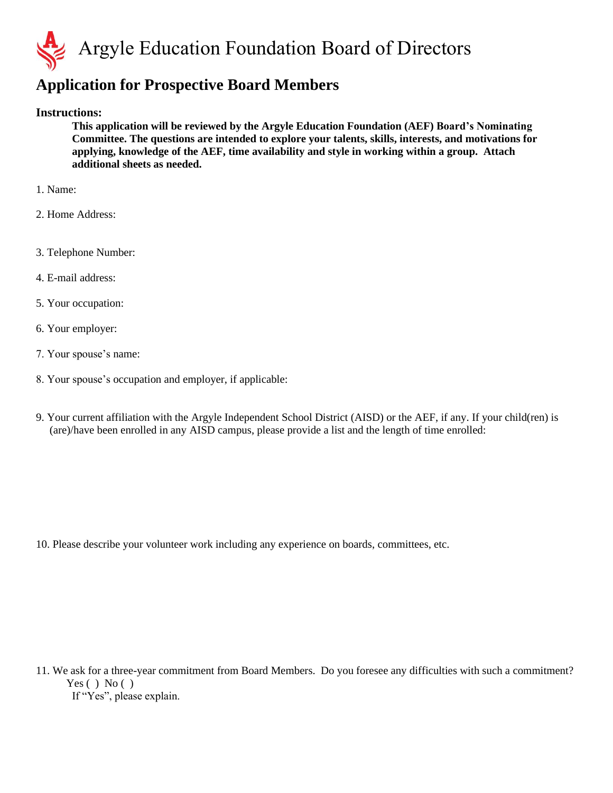

# **Application for Prospective Board Members**

### **Instructions:**

**This application will be reviewed by the Argyle Education Foundation (AEF) Board's Nominating Committee. The questions are intended to explore your talents, skills, interests, and motivations for applying, knowledge of the AEF, time availability and style in working within a group. Attach additional sheets as needed.**

- 1. Name:
- 2. Home Address:
- 3. Telephone Number:
- 4. E-mail address:
- 5. Your occupation:
- 6. Your employer:
- 7. Your spouse's name:
- 8. Your spouse's occupation and employer, if applicable:
- 9. Your current affiliation with the Argyle Independent School District (AISD) or the AEF, if any. If your child(ren) is (are)/have been enrolled in any AISD campus, please provide a list and the length of time enrolled:

10. Please describe your volunteer work including any experience on boards, committees, etc.

11. We ask for a three-year commitment from Board Members. Do you foresee any difficulties with such a commitment? Yes  $( )$  No  $( )$ If "Yes", please explain.